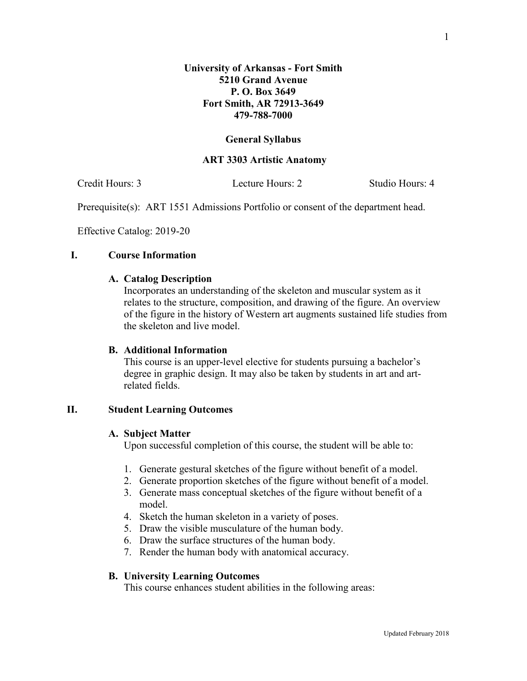### **General Syllabus**

### **ART 3303 Artistic Anatomy**

Credit Hours: 3 Lecture Hours: 2 Studio Hours: 4

Prerequisite(s): ART 1551 Admissions Portfolio or consent of the department head.

Effective Catalog: 2019-20

### **I. Course Information**

### **A. Catalog Description**

Incorporates an understanding of the skeleton and muscular system as it relates to the structure, composition, and drawing of the figure. An overview of the figure in the history of Western art augments sustained life studies from the skeleton and live model.

## **B. Additional Information**

This course is an upper-level elective for students pursuing a bachelor's degree in graphic design. It may also be taken by students in art and artrelated fields.

### **II. Student Learning Outcomes**

#### **A. Subject Matter**

Upon successful completion of this course, the student will be able to:

- 1. Generate gestural sketches of the figure without benefit of a model.
- 2. Generate proportion sketches of the figure without benefit of a model.
- 3. Generate mass conceptual sketches of the figure without benefit of a model.
- 4. Sketch the human skeleton in a variety of poses.
- 5. Draw the visible musculature of the human body.
- 6. Draw the surface structures of the human body.
- 7. Render the human body with anatomical accuracy.

#### **B. University Learning Outcomes**

This course enhances student abilities in the following areas: